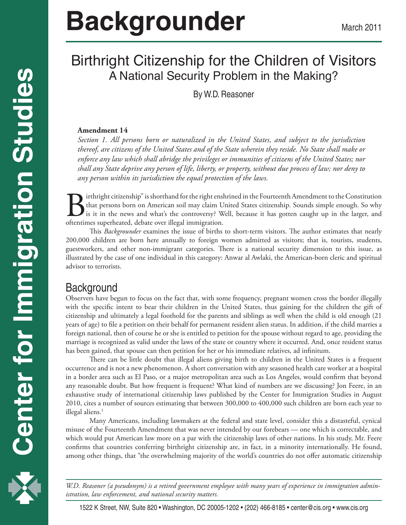# Birthright Citizenship for the Children of Visitors A National Security Problem in the Making?

By W.D. Reasoner

### **Amendment 14**

*Section 1. All persons born or naturalized in the United States, and subject to the jurisdiction thereof, are citizens of the United States and of the State wherein they reside. No State shall make or enforce any law which shall abridge the privileges or immunities of citizens of the United States; nor shall any State deprive any person of life, liberty, or property, without due process of law; nor deny to any person within its jurisdiction the equal protection of the laws.*

Birthright citizenship" is shorthand for the right enshrined in the Fourteenth Amendment to the Constitution<br>that persons born on American soil may claim United States citizenship. Sounds simple enough. So why<br>is it in the that persons born on American soil may claim United States citizenship. Sounds simple enough. So why is it in the news and what's the controversy? Well, because it has gotten caught up in the larger, and oftentimes superheated, debate over illegal immigration.

This *Backgrounder* examines the issue of births to short-term visitors. The author estimates that nearly 200,000 children are born here annually to foreign women admitted as visitors; that is, tourists, students, guestworkers, and other non-immigrant categories. There is a national security dimension to this issue, as illustrated by the case of one individual in this category: Anwar al Awlaki, the American-born cleric and spiritual advisor to terrorists.

# **Background**

Observers have begun to focus on the fact that, with some frequency, pregnant women cross the border illegally with the specific intent to bear their children in the United States, thus gaining for the children the gift of citizenship and ultimately a legal foothold for the parents and siblings as well when the child is old enough (21 years of age) to file a petition on their behalf for permanent resident alien status. In addition, if the child marries a foreign national, then of course he or she is entitled to petition for the spouse without regard to age, providing the marriage is recognized as valid under the laws of the state or country where it occurred. And, once resident status has been gained, that spouse can then petition for her or his immediate relatives, ad infinitum.

There can be little doubt that illegal aliens giving birth to children in the United States is a frequent occurrence and is not a new phenomenon. A short conversation with any seasoned health care worker at a hospital in a border area such as El Paso, or a major metropolitan area such as Los Angeles, would confirm that beyond any reasonable doubt. But how frequent is frequent? What kind of numbers are we discussing? Jon Feere, in an exhaustive study of international citizenship laws published by the Center for Immigration Studies in August 2010, cites a number of sources estimating that between 300,000 to 400,000 such children are born each year to illegal aliens.<sup>1</sup>

Many Americans, including lawmakers at the federal and state level, consider this a distasteful, cynical misuse of the Fourteenth Amendment that was never intended by our forebears — one which is correctable, and which would put American law more on a par with the citizenship laws of other nations. In his study, Mr. Feere confirms that countries conferring birthright citizenship are, in fact, in a minority internationally. He found, among other things, that "the overwhelming majority of the world's countries do not offer automatic citizenship

1 *istration, law enforcement, and national security matters. W.D. Reasoner (a pseudonym) is a retired government employee with many years of experience in immigration admin-*

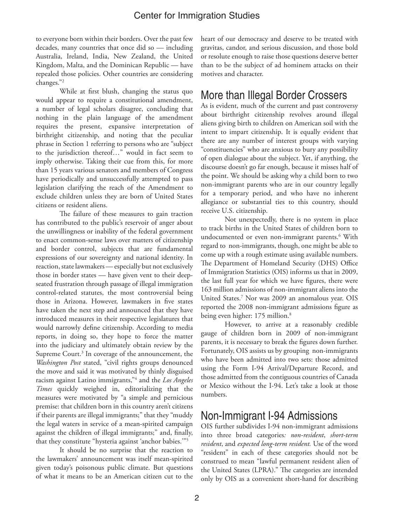to everyone born within their borders. Over the past few decades, many countries that once did so — including Australia, Ireland, India, New Zealand, the United Kingdom, Malta, and the Dominican Republic — have repealed those policies. Other countries are considering changes."2

While at first blush, changing the status quo would appear to require a constitutional amendment, a number of legal scholars disagree, concluding that nothing in the plain language of the amendment requires the present, expansive interpretation of birthright citizenship, and noting that the peculiar phrase in Section 1 referring to persons who are "subject to the jurisdiction thereof…" would in fact seem to imply otherwise. Taking their cue from this, for more than 15 years various senators and members of Congress have periodically and unsuccessfully attempted to pass legislation clarifying the reach of the Amendment to exclude children unless they are born of United States citizens or resident aliens.

The failure of these measures to gain traction has contributed to the public's reservoir of anger about the unwillingness or inability of the federal government to enact common-sense laws over matters of citizenship and border control, subjects that are fundamental expressions of our sovereignty and national identity. In reaction, state lawmakers — especially but not exclusively those in border states — have given vent to their deepseated frustration through passage of illegal immigration control-related statutes, the most controversial being those in Arizona. However, lawmakers in five states have taken the next step and announced that they have introduced measures in their respective legislatures that would narrowly define citizenship. According to media reports, in doing so, they hope to force the matter into the judiciary and ultimately obtain review by the Supreme Court.<sup>3</sup> In coverage of the announcement, the *Washington Post* stated, "civil rights groups denounced the move and said it was motivated by thinly disguised racism against Latino immigrants,"4 and the *Los Angeles Times* quickly weighed in, editorializing that the measures were motivated by "a simple and pernicious premise: that children born in this country aren't citizens if their parents are illegal immigrants;" that they "muddy the legal waters in service of a mean-spirited campaign against the children of illegal immigrants;" and, finally, that they constitute "hysteria against 'anchor babies.'"5

It should be no surprise that the reaction to the lawmakers' announcement was itself mean-spirited given today's poisonous public climate. But questions of what it means to be an American citizen cut to the

heart of our democracy and deserve to be treated with gravitas, candor, and serious discussion, and those bold or resolute enough to raise those questions deserve better than to be the subject of ad hominem attacks on their motives and character.

## More than Illegal Border Crossers

As is evident, much of the current and past controversy about birthright citizenship revolves around illegal aliens giving birth to children on American soil with the intent to impart citizenship. It is equally evident that there are any number of interest groups with varying "constituencies" who are anxious to bury any possibility of open dialogue about the subject. Yet, if anything, the discourse doesn't go far enough, because it misses half of the point. We should be asking why a child born to two non-immigrant parents who are in our country legally for a temporary period, and who have no inherent allegiance or substantial ties to this country, should receive U.S. citizenship.

Not unexpectedly, there is no system in place to track births in the United States of children born to undocumented or even non-immigrant parents.<sup>6</sup> With regard to non-immigrants, though, one might be able to come up with a rough estimate using available numbers. The Department of Homeland Security (DHS) Office of Immigration Statistics (OIS) informs us that in 2009, the last full year for which we have figures, there were 163 million admissions of non-immigrant aliens into the United States.7 Nor was 2009 an anomalous year. OIS reported the 2008 non-immigrant admissions figure as being even higher: 175 million.<sup>8</sup>

However, to arrive at a reasonably credible gauge of children born in 2009 of non-immigrant parents, it is necessary to break the figures down further. Fortunately, OIS assists us by grouping non-immigrants who have been admitted into two sets: those admitted using the Form I-94 Arrival/Departure Record, and those admitted from the contiguous countries of Canada or Mexico without the I-94. Let's take a look at those numbers.

## Non-Immigrant I-94 Admissions

OIS further subdivides I-94 non-immigrant admissions into three broad categories*: non-resident*, *short-term resident*, and *expected long-term resident.* Use of the word "resident" in each of these categories should not be construed to mean "lawful permanent resident alien of the United States (LPRA)." The categories are intended only by OIS as a convenient short-hand for describing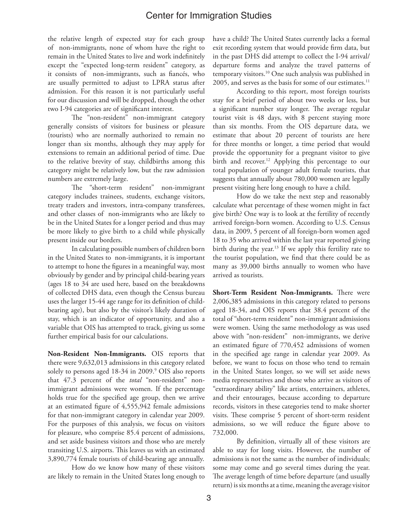the relative length of expected stay for each group of non-immigrants, none of whom have the right to remain in the United States to live and work indefinitely except the "expected long-term resident" category, as it consists of non-immigrants, such as fiancés, who are usually permitted to adjust to LPRA status after admission. For this reason it is not particularly useful for our discussion and will be dropped, though the other two I-94 categories are of significant interest.

The "non-resident" non-immigrant category generally consists of visitors for business or pleasure (tourists) who are normally authorized to remain no longer than six months, although they may apply for extensions to remain an additional period of time. Due to the relative brevity of stay, childbirths among this category might be relatively low, but the raw admission numbers are extremely large.

The "short-term resident" non-immigrant category includes trainees, students, exchange visitors, treaty traders and investors, intra-company transferees, and other classes of non-immigrants who are likely to be in the United States for a longer period and thus may be more likely to give birth to a child while physically present inside our borders.

In calculating possible numbers of children born in the United States to non-immigrants, it is important to attempt to hone the figures in a meaningful way, most obviously by gender and by principal child-bearing years (ages 18 to 34 are used here, based on the breakdowns of collected DHS data, even though the Census bureau uses the larger 15-44 age range for its definition of childbearing age), but also by the visitor's likely duration of stay, which is an indicator of opportunity, and also a variable that OIS has attempted to track, giving us some further empirical basis for our calculations.

**Non-Resident Non-Immigrants.** OIS reports that there were 9,632,013 admissions in this category related solely to persons aged 18-34 in 2009.<sup>9</sup> OIS also reports that 47.3 percent of the *total* "non-resident" nonimmigrant admissions were women. If the percentage holds true for the specified age group, then we arrive at an estimated figure of 4,555,942 female admissions for that non-immigrant category in calendar year 2009. For the purposes of this analysis, we focus on visitors for pleasure, who comprise 85.4 percent of admissions, and set aside business visitors and those who are merely transiting U.S. airports. This leaves us with an estimated 3,890,774 female tourists of child-bearing age annually.

How do we know how many of these visitors are likely to remain in the United States long enough to

have a child? The United States currently lacks a formal exit recording system that would provide firm data, but in the past DHS did attempt to collect the I-94 arrival/ departure forms and analyze the travel patterns of temporary visitors.10 One such analysis was published in 2005, and serves as the basis for some of our estimates.<sup>11</sup>

According to this report, most foreign tourists stay for a brief period of about two weeks or less, but a significant number stay longer. The average regular tourist visit is 48 days, with 8 percent staying more than six months. From the OIS departure data, we estimate that about 20 percent of tourists are here for three months or longer, a time period that would provide the opportunity for a pregnant visitor to give birth and recover.<sup>12</sup> Applying this percentage to our total population of younger adult female tourists, that suggests that annually about 780,000 women are legally present visiting here long enough to have a child.

How do we take the next step and reasonably calculate what percentage of these women might in fact give birth? One way is to look at the fertility of recently arrived foreign-born women. According to U.S. Census data, in 2009, 5 percent of all foreign-born women aged 18 to 35 who arrived within the last year reported giving birth during the year.<sup>13</sup> If we apply this fertility rate to the tourist population, we find that there could be as many as 39,000 births annually to women who have arrived as tourists.

**Short-Term Resident Non-Immigrants.** There were 2,006,385 admissions in this category related to persons aged 18-34, and OIS reports that 38.4 percent of the total of "short-term resident" non-immigrant admissions were women. Using the same methodology as was used above with "non-resident" non-immigrants, we derive an estimated figure of 770,452 admissions of women in the specified age range in calendar year 2009. As before, we want to focus on those who tend to remain in the United States longer, so we will set aside news media representatives and those who arrive as visitors of "extraordinary ability" like artists, entertainers, athletes, and their entourages, because according to departure records, visitors in these categories tend to make shorter visits. These comprise 5 percent of short-term resident admissions, so we will reduce the figure above to 732,000.

By definition, virtually all of these visitors are able to stay for long visits. However, the number of admissions is not the same as the number of individuals; some may come and go several times during the year. The average length of time before departure (and usually return) is six months at a time, meaning the average visitor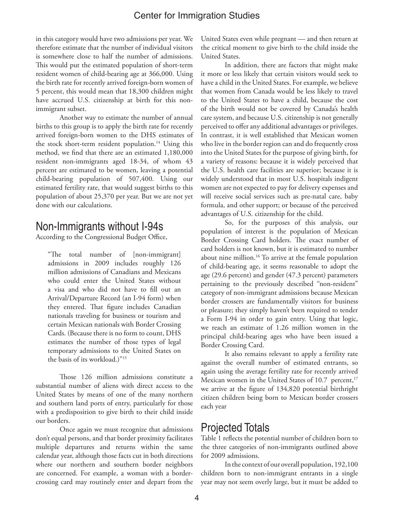in this category would have two admissions per year. We therefore estimate that the number of individual visitors is somewhere close to half the number of admissions. This would put the estimated population of short-term resident women of child-bearing age at 366,000. Using the birth rate for recently arrived foreign-born women of 5 percent, this would mean that 18,300 children might have accrued U.S. citizenship at birth for this nonimmigrant subset.

Another way to estimate the number of annual births to this group is to apply the birth rate for recently arrived foreign-born women to the DHS estimates of the stock short-term resident population.<sup>14</sup> Using this method, we find that there are an estimated 1,180,000 resident non-immigrants aged 18-34, of whom 43 percent are estimated to be women, leaving a potential child-bearing population of 507,400. Using our estimated fertility rate, that would suggest births to this population of about 25,370 per year. But we are not yet done with our calculations.

## Non-Immigrants without I-94s

According to the Congressional Budget Office,

"The total number of [non-immigrant] admissions in 2009 includes roughly 126 million admissions of Canadians and Mexicans who could enter the United States without a visa and who did not have to fill out an Arrival/Departure Record (an I-94 form) when they entered. That figure includes Canadian nationals traveling for business or tourism and certain Mexican nationals with Border Crossing Cards. (Because there is no form to count, DHS estimates the number of those types of legal temporary admissions to the United States on the basis of its workload.)"15

Those 126 million admissions constitute a substantial number of aliens with direct access to the United States by means of one of the many northern and southern land ports of entry, particularly for those with a predisposition to give birth to their child inside our borders.

Once again we must recognize that admissions don't equal persons, and that border proximity facilitates multiple departures and returns within the same calendar year, although those facts cut in both directions where our northern and southern border neighbors are concerned. For example, a woman with a bordercrossing card may routinely enter and depart from the United States even while pregnant — and then return at the critical moment to give birth to the child inside the United States.

In addition, there are factors that might make it more or less likely that certain visitors would seek to have a child in the United States. For example, we believe that women from Canada would be less likely to travel to the United States to have a child, because the cost of the birth would not be covered by Canada's health care system, and because U.S. citizenship is not generally perceived to offer any additional advantages or privileges. In contrast, it is well established that Mexican women who live in the border region can and do frequently cross into the United States for the purpose of giving birth, for a variety of reasons: because it is widely perceived that the U.S. health care facilities are superior; because it is widely understood that in most U.S. hospitals indigent women are not expected to pay for delivery expenses and will receive social services such as pre-natal care, baby formula, and other support; or because of the perceived advantages of U.S. citizenship for the child.

So, for the purposes of this analysis, our population of interest is the population of Mexican Border Crossing Card holders. The exact number of card holders is not known, but it is estimated to number about nine million.16 To arrive at the female population of child-bearing age, it seems reasonable to adopt the age (29.6 percent) and gender (47.3 percent) parameters pertaining to the previously described "non-resident" category of non-immigrant admissions because Mexican border crossers are fundamentally visitors for business or pleasure; they simply haven't been required to tender a Form I-94 in order to gain entry. Using that logic, we reach an estimate of 1.26 million women in the principal child-bearing ages who have been issued a Border Crossing Card.

It also remains relevant to apply a fertility rate against the overall number of estimated entrants, so again using the average fertility rate for recently arrived Mexican women in the United States of 10.7 percent,<sup>17</sup> we arrive at the figure of 134,820 potential birthright citizen children being born to Mexican border crossers each year

## Projected Totals

Table 1 reflects the potential number of children born to the three categories of non-immigrants outlined above for 2009 admissions.

In the context of our overall population, 192,100 children born to non-immigrant entrants in a single year may not seem overly large, but it must be added to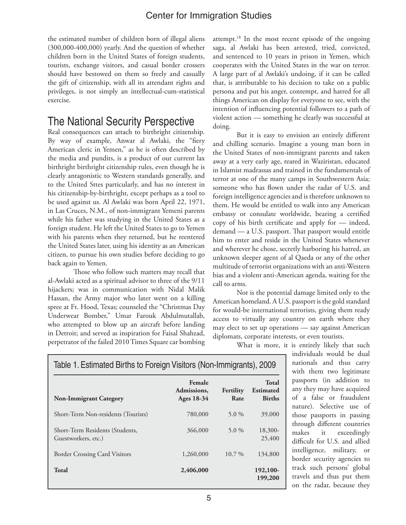the estimated number of children born of illegal aliens (300,000-400,000) yearly. And the question of whether children born in the United States of foreign students, tourists, exchange visitors, and casual border crossers should have bestowed on them so freely and casually the gift of citizenship, with all its attendant rights and privileges, is not simply an intellectual-cum-statistical exercise.

# The National Security Perspective

Real consequences can attach to birthright citizenship. By way of example, Anwar al Awlaki, the "fiery American cleric in Yemen," as he is often described by the media and pundits, is a product of our current lax birthright birthright citizenship rules, even though he is clearly antagonistic to Western standards generally, and to the United Sttes particularly, and has no interest in his citizenship-by-birthright, except perhaps as a tool to be used against us. Al Awlaki was born April 22, 1971, in Las Cruces, N.M., of non-immigrant Yemeni parents while his father was studying in the United States as a foreign student. He left the United States to go to Yemen with his parents when they returned, but he reentered the United States later, using his identity as an American citizen, to pursue his own studies before deciding to go back again to Yemen.

 Those who follow such matters may recall that al-Awlaki acted as a spiritual advisor to three of the 9/11 hijackers; was in communication with Nidal Malik Hassan, the Army major who later went on a killing spree at Ft. Hood, Texas; counseled the "Christmas Day Underwear Bomber," Umar Farouk Abdulmutallab, who attempted to blow up an aircraft before landing in Detroit; and served as inspiration for Faisal Shahzad, perpetrator of the failed 2010 Times Square car bombing

attempt.<sup>18</sup> In the most recent episode of the ongoing saga, al Awlaki has been arrested, tried, convicted, and sentenced to 10 years in prison in Yemen, which cooperates with the United States in the war on terror. A large part of al Awlaki's undoing, if it can be called that, is attributable to his decision to take on a public persona and put his anger, contempt, and hatred for all things American on display for everyone to see, with the intention of influencing potential followers to a path of violent action — something he clearly was successful at doing.

But it is easy to envision an entirely different and chilling scenario. Imagine a young man born in the United States of non-immigrant parents and taken away at a very early age, reared in Waziristan, educated in Islamist madrassas and trained in the fundamentals of terror at one of the many camps in Southwestern Asia; someone who has flown under the radar of U.S. and foreign intelligence agencies and is therefore unknown to them. He would be entitled to walk into any American embassy or consulate worldwide, bearing a certified copy of his birth certificate and apply for — indeed, demand — a U.S. passport. That passport would entitle him to enter and reside in the United States whenever and wherever he chose, secretly harboring his hatred, an unknown sleeper agent of al Qaeda or any of the other multitude of terrorist organizations with an anti-Western bias and a violent anti-American agenda, waiting for the call to arms.

Nor is the potential damage limited only to the American homeland. A U.S. passport is the gold standard for would-be international terrorists, giving them ready access to virtually any country on earth where they may elect to set up operations — say against American diplomats, corporate interests, or even tourists.

| Table T. Estimated Births to Foreign Visitors (Non-Immigrants), 2009 |                                     |                   |                                                   |
|----------------------------------------------------------------------|-------------------------------------|-------------------|---------------------------------------------------|
| <b>Non-Immigrant Category</b>                                        | Female<br>Admissions,<br>Ages 18-34 | Fertility<br>Rate | <b>Total</b><br><b>Estimated</b><br><b>Births</b> |
| Short-Term Non-residents (Tourists)                                  | 780,000                             | 5.0 $%$           | 39,000                                            |
| Short-Term Residents (Students,<br>Guestworkers, etc.)               | 366,000                             | 5.0 $%$           | 18,300-<br>25,400                                 |
| <b>Border Crossing Card Visitors</b>                                 | 1,260,000                           | $10.7\%$          | 134,800                                           |
| <b>Total</b>                                                         | 2,406,000                           |                   | 192,100-<br>199,200                               |

Table 1. Estimated Births to Foreign Visitors (Non-Immigrants), 2009

What is more, it is entirely likely that such individuals would be dual nationals and thus carry with them two legitimate passports (in addition to any they may have acquired of a false or fraudulent nature). Selective use of those passports in passing through different countries makes it exceedingly difficult for U.S. and allied intelligence, military, or border security agencies to track such persons' global travels and thus put them on the radar, because they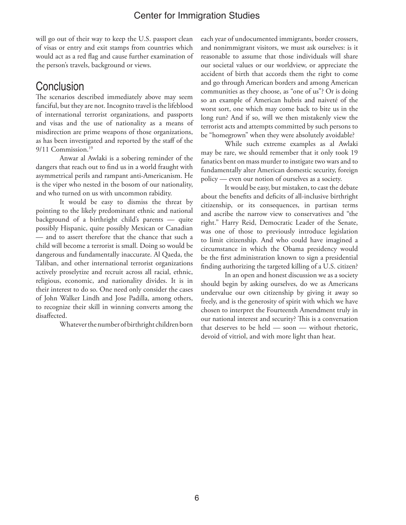will go out of their way to keep the U.S. passport clean of visas or entry and exit stamps from countries which would act as a red flag and cause further examination of the person's travels, background or views.

## **Conclusion**

The scenarios described immediately above may seem fanciful, but they are not. Incognito travel is the lifeblood of international terrorist organizations, and passports and visas and the use of nationality as a means of misdirection are prime weapons of those organizations, as has been investigated and reported by the staff of the 9/11 Commission.<sup>19</sup>

Anwar al Awlaki is a sobering reminder of the dangers that reach out to find us in a world fraught with asymmetrical perils and rampant anti-Americanism. He is the viper who nested in the bosom of our nationality, and who turned on us with uncommon rabidity.

It would be easy to dismiss the threat by pointing to the likely predominant ethnic and national background of a birthright child's parents — quite possibly Hispanic, quite possibly Mexican or Canadian — and to assert therefore that the chance that such a child will become a terrorist is small. Doing so would be dangerous and fundamentally inaccurate. Al Qaeda, the Taliban, and other international terrorist organizations actively proselytize and recruit across all racial, ethnic, religious, economic, and nationality divides. It is in their interest to do so. One need only consider the cases of John Walker Lindh and Jose Padilla, among others, to recognize their skill in winning converts among the disaffected.

Whatever the number of birthright children born

each year of undocumented immigrants, border crossers, and nonimmigrant visitors, we must ask ourselves: is it reasonable to assume that those individuals will share our societal values or our worldview, or appreciate the accident of birth that accords them the right to come and go through American borders and among American communities as they choose, as "one of us"? Or is doing so an example of American hubris and naiveté of the worst sort, one which may come back to bite us in the long run? And if so, will we then mistakenly view the terrorist acts and attempts committed by such persons to be "homegrown" when they were absolutely avoidable?

While such extreme examples as al Awlaki may be rare, we should remember that it only took 19 fanatics bent on mass murder to instigate two wars and to fundamentally alter American domestic security, foreign policy — even our notion of ourselves as a society.

It would be easy, but mistaken, to cast the debate about the benefits and deficits of all-inclusive birthright citizenship, or its consequences, in partisan terms and ascribe the narrow view to conservatives and "the right." Harry Reid, Democratic Leader of the Senate, was one of those to previously introduce legislation to limit citizenship. And who could have imagined a circumstance in which the Obama presidency would be the first administration known to sign a presidential finding authorizing the targeted killing of a U.S. citizen?

In an open and honest discussion we as a society should begin by asking ourselves, do we as Americans undervalue our own citizenship by giving it away so freely, and is the generosity of spirit with which we have chosen to interpret the Fourteenth Amendment truly in our national interest and security? This is a conversation that deserves to be held — soon — without rhetoric, devoid of vitriol, and with more light than heat.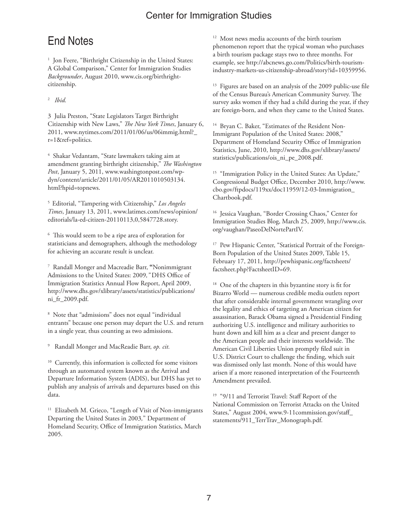# End Notes

<sup>1</sup> Jon Feere, "Birthright Citizenship in the United States: A Global Comparison," Center for Immigration Studies *Backgrounder*, August 2010, www.cis.org/birthrightcitizenship.

#### 2 *Ibid.*

3 Julia Preston, "State Legislators Target Birthright Citizenship with New Laws," *The New York Times*, January 6, 2011, www.nytimes.com/2011/01/06/us/06immig.html?\_ r=1&ref=politics.

4 Shakar Vedantam, "State lawmakers taking aim at amendment granting birthright citizenship," *The Washington Post*, January 5, 2011, www.washingtonpost.com/wpdyn/content/article/2011/01/05/AR2011010503134. html?hpid=topnews.

5 Editorial, "Tampering with Citizenship," *Los Angeles Times*, January 13, 2011, www.latimes.com/news/opinion/ editorials/la-ed-citizen-20110113,0,5847728.story.

6 This would seem to be a ripe area of exploration for statisticians and demographers, although the methodology for achieving an accurate result is unclear.

7 Randall Monger and Macreadie Barr, **"**Nonimmigrant Admissions to the United States: 2009*,"* DHS Office of Immigration Statistics Annual Flow Report, April 2009, http://www.dhs.gov/xlibrary/assets/statistics/publications/ ni\_fr\_2009.pdf.

8 Note that "admissions" does not equal "individual entrants" because one person may depart the U.S. and return in a single year, thus counting as two admissions.

9 Randall Monger and MacReadie Barr, *op. cit.*

<sup>10</sup> Currently, this information is collected for some visitors through an automated system known as the Arrival and Departure Information System (ADIS), but DHS has yet to publish any analysis of arrivals and departures based on this data.

<sup>11</sup> Elizabeth M. Grieco, "Length of Visit of Non-immigrants Departing the United States in 2003*,*" Department of Homeland Security, Office of Immigration Statistics, March 2005.

<sup>12</sup> Most news media accounts of the birth tourism phenomenon report that the typical woman who purchases a birth tourism package stays two to three months. For example, see http://abcnews.go.com/Politics/birth-tourismindustry-markets-us-citizenship-abroad/story?id=10359956.

<sup>13</sup> Figures are based on an analysis of the 2009 public-use file of the Census Bureau's American Community Survey. The survey asks women if they had a child during the year, if they are foreign-born, and when they came to the United States.

<sup>14</sup> Bryan C. Baker, "Estimates of the Resident Non-Immigrant Population of the United States: 2008," Department of Homeland Security Office of Immigration Statistics, June, 2010, http://www.dhs.gov/xlibrary/assets/ statistics/publications/ois\_ni\_pe\_2008.pdf.

<sup>15</sup> "Immigration Policy in the United States: An Update," Congressional Budget Office, December 2010, http://www. cbo.gov/ftpdocs/119xx/doc11959/12-03-Immigration\_ Chartbook.pdf.

<sup>16</sup> Jessica Vaughan, "Border Crossing Chaos," Center for Immigration Studies Blog, March 25, 2009, http://www.cis. org/vaughan/PaseoDelNortePartIV.

<sup>17</sup> Pew Hispanic Center, "Statistical Portrait of the Foreign-Born Population of the United States 2009, Table 15, February 17, 2011, http://pewhispanic.org/factsheets/ factsheet.php?FactsheetID=69.

<sup>18</sup> One of the chapters in this byzantine story is fit for Bizarro World — numerous credible media outlets report that after considerable internal government wrangling over the legality and ethics of targeting an American citizen for assassination, Barack Obama signed a Presidential Finding authorizing U.S. intelligence and military authorities to hunt down and kill him as a clear and present danger to the American people and their interests worldwide. The American Civil Liberties Union promptly filed suit in U.S. District Court to challenge the finding, which suit was dismissed only last month. None of this would have arisen if a more reasoned interpretation of the Fourteenth Amendment prevailed.

<sup>19</sup> "9/11 and Terrorist Travel: Staff Report of the National Commission on Terrorist Attacks on the United States," August 2004, www.9-11commission.gov/staff\_ statements/911\_TerrTrav\_Monograph.pdf.